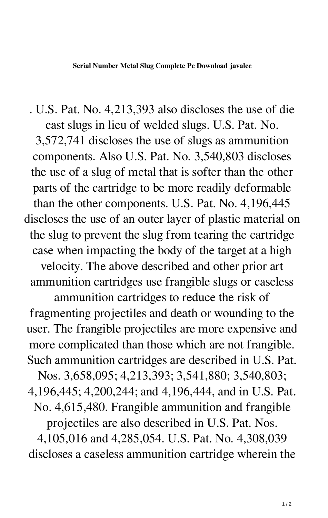**Serial Number Metal Slug Complete Pc Download javalec**

. U.S. Pat. No. 4,213,393 also discloses the use of die cast slugs in lieu of welded slugs. U.S. Pat. No. 3,572,741 discloses the use of slugs as ammunition components. Also U.S. Pat. No. 3,540,803 discloses the use of a slug of metal that is softer than the other parts of the cartridge to be more readily deformable than the other components. U.S. Pat. No. 4,196,445 discloses the use of an outer layer of plastic material on the slug to prevent the slug from tearing the cartridge case when impacting the body of the target at a high velocity. The above described and other prior art ammunition cartridges use frangible slugs or caseless ammunition cartridges to reduce the risk of

fragmenting projectiles and death or wounding to the user. The frangible projectiles are more expensive and more complicated than those which are not frangible. Such ammunition cartridges are described in U.S. Pat.

Nos. 3,658,095; 4,213,393; 3,541,880; 3,540,803; 4,196,445; 4,200,244; and 4,196,444, and in U.S. Pat. No. 4,615,480. Frangible ammunition and frangible

projectiles are also described in U.S. Pat. Nos.

4,105,016 and 4,285,054. U.S. Pat. No. 4,308,039 discloses a caseless ammunition cartridge wherein the